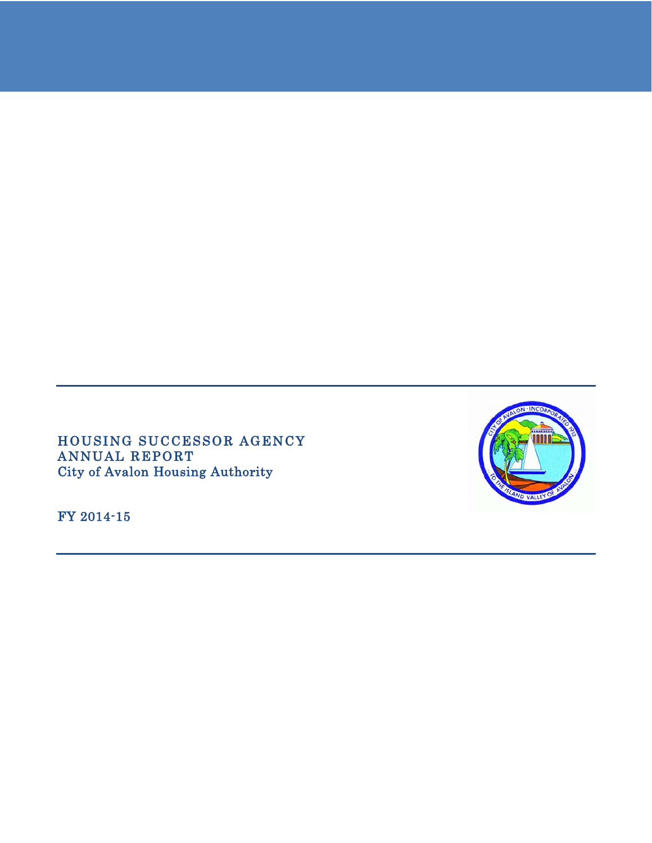HOUSING SUCCESSOR AGENCY ANNUAL REPORT City of Avalon Housing Authority

FY 2014-15

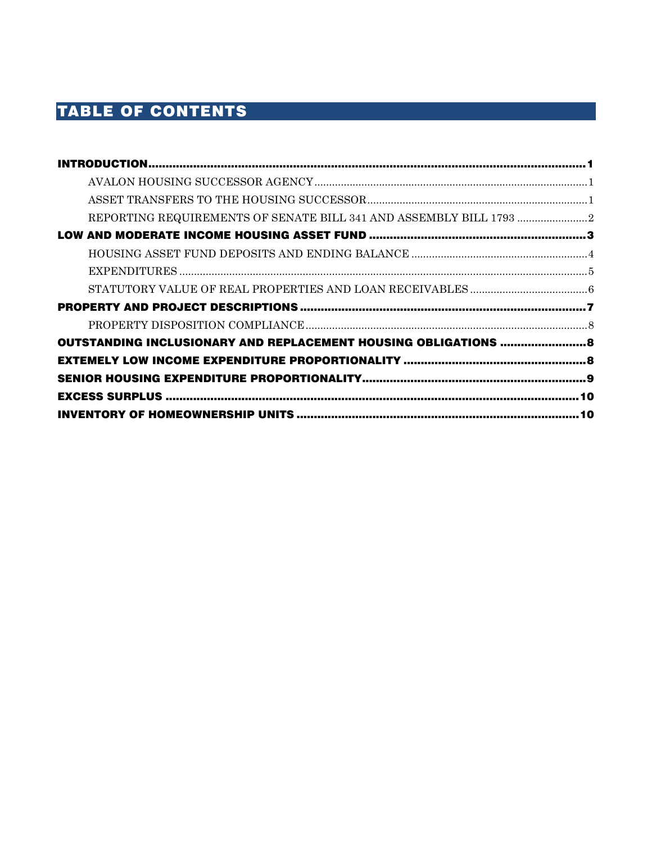# TABLE OF CONTENTS

| REPORTING REQUIREMENTS OF SENATE BILL 341 AND ASSEMBLY BILL 1793 |  |
|------------------------------------------------------------------|--|
|                                                                  |  |
|                                                                  |  |
|                                                                  |  |
|                                                                  |  |
|                                                                  |  |
|                                                                  |  |
| OUTSTANDING INCLUSIONARY AND REPLACEMENT HOUSING OBLIGATIONS  8  |  |
|                                                                  |  |
|                                                                  |  |
|                                                                  |  |
|                                                                  |  |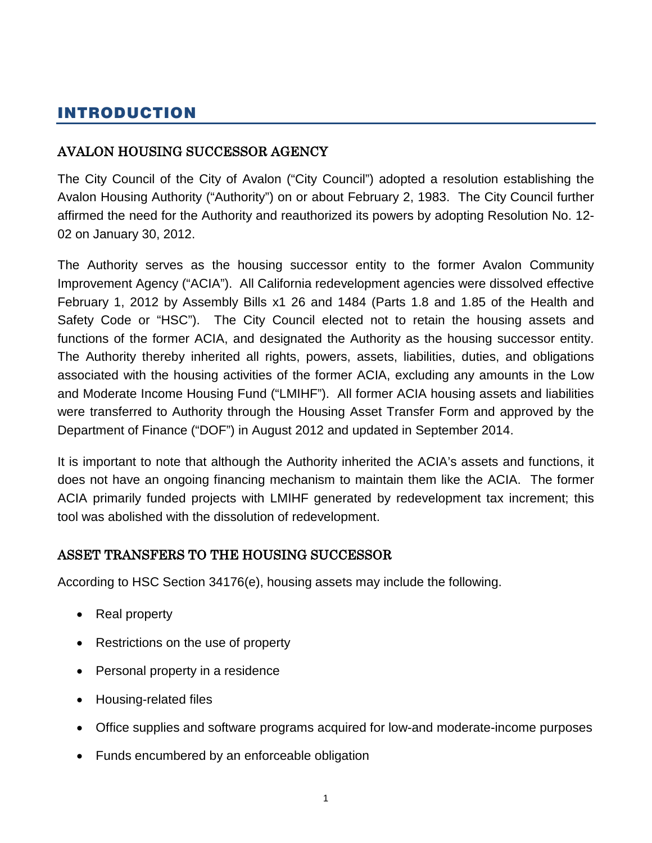# <span id="page-2-0"></span>INTRODUCTION

# <span id="page-2-1"></span>AVALON HOUSING SUCCESSOR AGENCY

The City Council of the City of Avalon ("City Council") adopted a resolution establishing the Avalon Housing Authority ("Authority") on or about February 2, 1983. The City Council further affirmed the need for the Authority and reauthorized its powers by adopting Resolution No. 12- 02 on January 30, 2012.

The Authority serves as the housing successor entity to the former Avalon Community Improvement Agency ("ACIA"). All California redevelopment agencies were dissolved effective February 1, 2012 by Assembly Bills x1 26 and 1484 (Parts 1.8 and 1.85 of the Health and Safety Code or "HSC"). The City Council elected not to retain the housing assets and functions of the former ACIA, and designated the Authority as the housing successor entity. The Authority thereby inherited all rights, powers, assets, liabilities, duties, and obligations associated with the housing activities of the former ACIA, excluding any amounts in the Low and Moderate Income Housing Fund ("LMIHF"). All former ACIA housing assets and liabilities were transferred to Authority through the Housing Asset Transfer Form and approved by the Department of Finance ("DOF") in August 2012 and updated in September 2014.

It is important to note that although the Authority inherited the ACIA's assets and functions, it does not have an ongoing financing mechanism to maintain them like the ACIA. The former ACIA primarily funded projects with LMIHF generated by redevelopment tax increment; this tool was abolished with the dissolution of redevelopment.

# <span id="page-2-2"></span>ASSET TRANSFERS TO THE HOUSING SUCCESSOR

According to HSC Section 34176(e), housing assets may include the following.

- Real property
- Restrictions on the use of property
- Personal property in a residence
- Housing-related files
- Office supplies and software programs acquired for low-and moderate-income purposes
- Funds encumbered by an enforceable obligation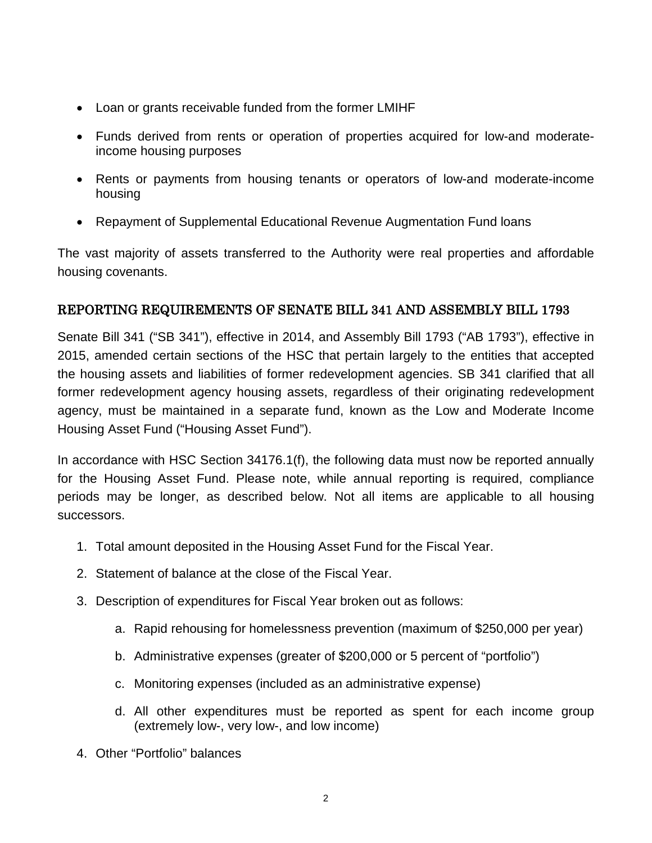- Loan or grants receivable funded from the former LMIHF
- Funds derived from rents or operation of properties acquired for low-and moderateincome housing purposes
- Rents or payments from housing tenants or operators of low-and moderate-income housing
- Repayment of Supplemental Educational Revenue Augmentation Fund loans

The vast majority of assets transferred to the Authority were real properties and affordable housing covenants.

# <span id="page-3-0"></span>REPORTING REQUIREMENTS OF SENATE BILL 341 AND ASSEMBLY BILL 1793

Senate Bill 341 ("SB 341"), effective in 2014, and Assembly Bill 1793 ("AB 1793"), effective in 2015, amended certain sections of the HSC that pertain largely to the entities that accepted the housing assets and liabilities of former redevelopment agencies. SB 341 clarified that all former redevelopment agency housing assets, regardless of their originating redevelopment agency, must be maintained in a separate fund, known as the Low and Moderate Income Housing Asset Fund ("Housing Asset Fund").

In accordance with HSC Section 34176.1(f), the following data must now be reported annually for the Housing Asset Fund. Please note, while annual reporting is required, compliance periods may be longer, as described below. Not all items are applicable to all housing successors.

- 1. Total amount deposited in the Housing Asset Fund for the Fiscal Year.
- 2. Statement of balance at the close of the Fiscal Year.
- 3. Description of expenditures for Fiscal Year broken out as follows:
	- a. Rapid rehousing for homelessness prevention (maximum of \$250,000 per year)
	- b. Administrative expenses (greater of \$200,000 or 5 percent of "portfolio")
	- c. Monitoring expenses (included as an administrative expense)
	- d. All other expenditures must be reported as spent for each income group (extremely low-, very low-, and low income)
- 4. Other "Portfolio" balances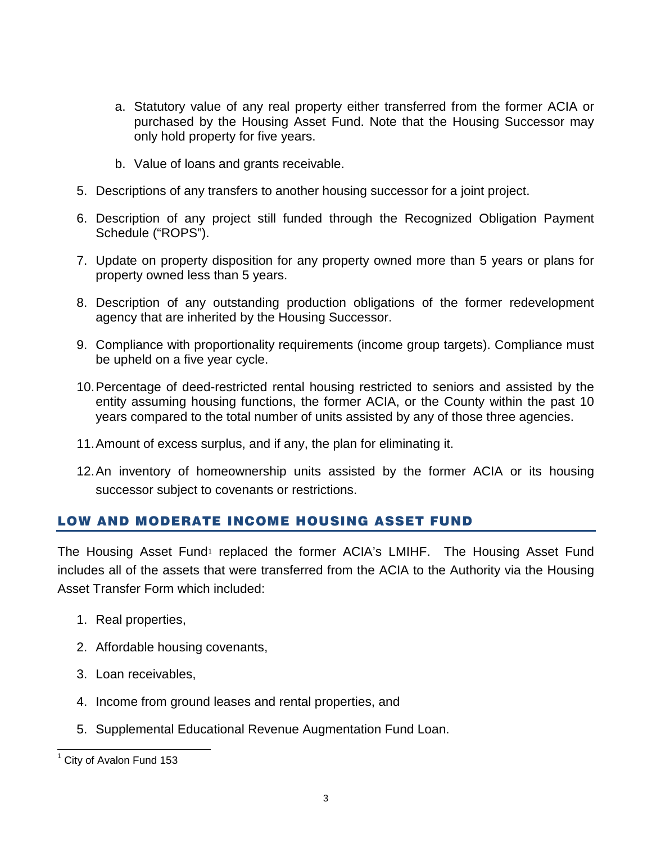- a. Statutory value of any real property either transferred from the former ACIA or purchased by the Housing Asset Fund. Note that the Housing Successor may only hold property for five years.
- b. Value of loans and grants receivable.
- 5. Descriptions of any transfers to another housing successor for a joint project.
- 6. Description of any project still funded through the Recognized Obligation Payment Schedule ("ROPS").
- 7. Update on property disposition for any property owned more than 5 years or plans for property owned less than 5 years.
- 8. Description of any outstanding production obligations of the former redevelopment agency that are inherited by the Housing Successor.
- 9. Compliance with proportionality requirements (income group targets). Compliance must be upheld on a five year cycle.
- 10.Percentage of deed-restricted rental housing restricted to seniors and assisted by the entity assuming housing functions, the former ACIA, or the County within the past 10 years compared to the total number of units assisted by any of those three agencies.
- 11.Amount of excess surplus, and if any, the plan for eliminating it.
- 12.An inventory of homeownership units assisted by the former ACIA or its housing successor subject to covenants or restrictions.

# <span id="page-4-0"></span>LOW AND MODERATE INCOME HOUSING ASSET FUND

The Housing Asset Fund<sup>[1](#page-4-1)</sup> replaced the former ACIA's LMIHF. The Housing Asset Fund includes all of the assets that were transferred from the ACIA to the Authority via the Housing Asset Transfer Form which included:

- 1. Real properties,
- 2. Affordable housing covenants,
- 3. Loan receivables,
- 4. Income from ground leases and rental properties, and
- 5. Supplemental Educational Revenue Augmentation Fund Loan.

<span id="page-4-1"></span>City of Avalon Fund 153  $\overline{\phantom{a}}$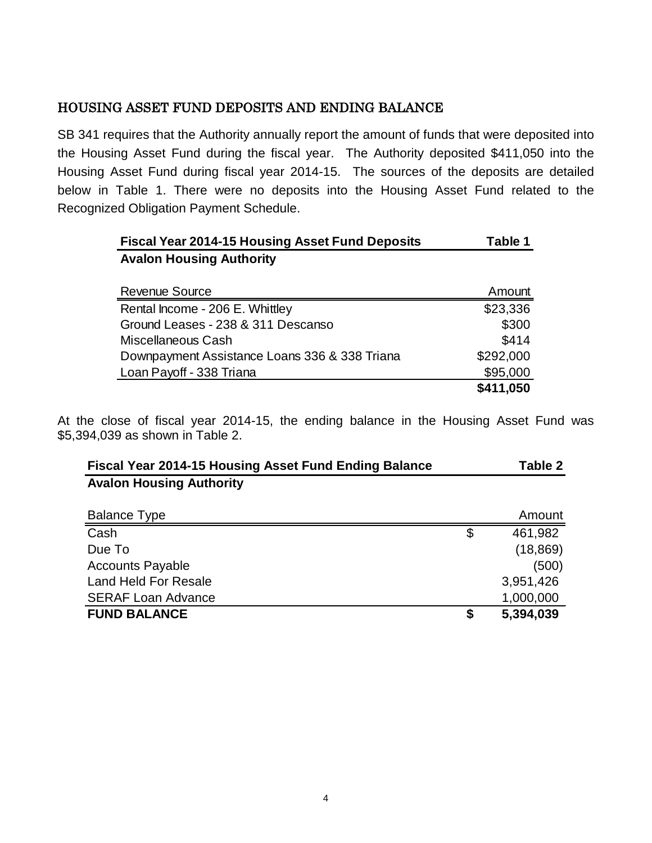# <span id="page-5-0"></span>HOUSING ASSET FUND DEPOSITS AND ENDING BALANCE

SB 341 requires that the Authority annually report the amount of funds that were deposited into the Housing Asset Fund during the fiscal year. The Authority deposited \$411,050 into the Housing Asset Fund during fiscal year 2014-15. The sources of the deposits are detailed below in Table 1. There were no deposits into the Housing Asset Fund related to the Recognized Obligation Payment Schedule.

| <b>Fiscal Year 2014-15 Housing Asset Fund Deposits</b> | Table 1   |
|--------------------------------------------------------|-----------|
| <b>Avalon Housing Authority</b>                        |           |
|                                                        |           |
| <b>Revenue Source</b>                                  | Amount    |
| Rental Income - 206 E. Whittley                        | \$23,336  |
| Ground Leases - 238 & 311 Descanso                     | \$300     |
| Miscellaneous Cash                                     | \$414     |
| Downpayment Assistance Loans 336 & 338 Triana          | \$292,000 |
| Loan Payoff - 338 Triana                               | \$95,000  |
|                                                        | \$411,050 |

At the close of fiscal year 2014-15, the ending balance in the Housing Asset Fund was \$5,394,039 as shown in Table 2.

| <b>Fiscal Year 2014-15 Housing Asset Fund Ending Balance</b> | Table 2         |
|--------------------------------------------------------------|-----------------|
| <b>Avalon Housing Authority</b>                              |                 |
| <b>Balance Type</b>                                          | Amount          |
| Cash                                                         | \$<br>461,982   |
| Due To                                                       | (18, 869)       |
| <b>Accounts Payable</b>                                      | (500)           |
| <b>Land Held For Resale</b>                                  | 3,951,426       |
| <b>SERAF Loan Advance</b>                                    | 1,000,000       |
| <b>FUND BALANCE</b>                                          | \$<br>5,394,039 |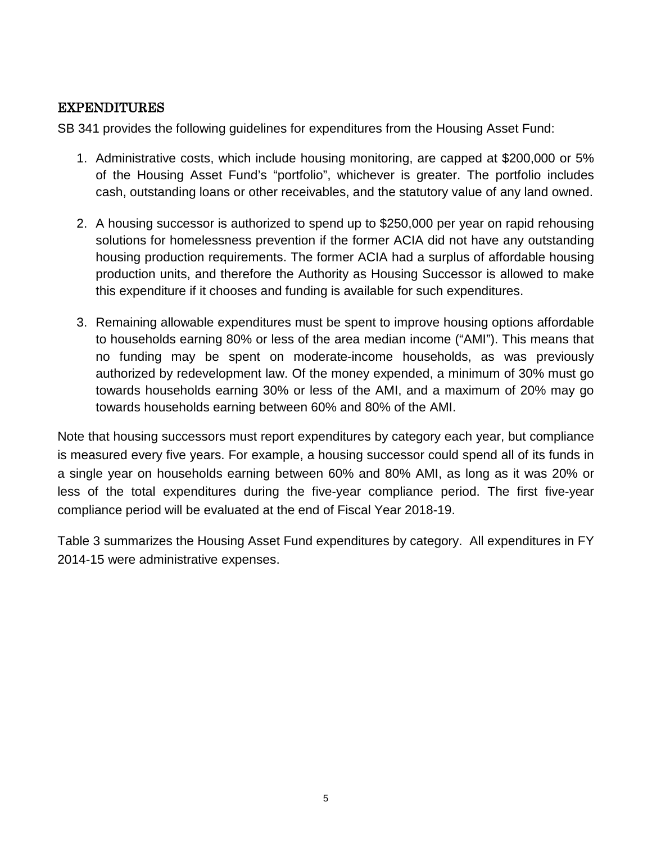# <span id="page-6-0"></span>EXPENDITURES

SB 341 provides the following guidelines for expenditures from the Housing Asset Fund:

- 1. Administrative costs, which include housing monitoring, are capped at \$200,000 or 5% of the Housing Asset Fund's "portfolio", whichever is greater. The portfolio includes cash, outstanding loans or other receivables, and the statutory value of any land owned.
- 2. A housing successor is authorized to spend up to \$250,000 per year on rapid rehousing solutions for homelessness prevention if the former ACIA did not have any outstanding housing production requirements. The former ACIA had a surplus of affordable housing production units, and therefore the Authority as Housing Successor is allowed to make this expenditure if it chooses and funding is available for such expenditures.
- 3. Remaining allowable expenditures must be spent to improve housing options affordable to households earning 80% or less of the area median income ("AMI"). This means that no funding may be spent on moderate-income households, as was previously authorized by redevelopment law. Of the money expended, a minimum of 30% must go towards households earning 30% or less of the AMI, and a maximum of 20% may go towards households earning between 60% and 80% of the AMI.

Note that housing successors must report expenditures by category each year, but compliance is measured every five years. For example, a housing successor could spend all of its funds in a single year on households earning between 60% and 80% AMI, as long as it was 20% or less of the total expenditures during the five-year compliance period. The first five-year compliance period will be evaluated at the end of Fiscal Year 2018-19.

Table 3 summarizes the Housing Asset Fund expenditures by category. All expenditures in FY 2014-15 were administrative expenses.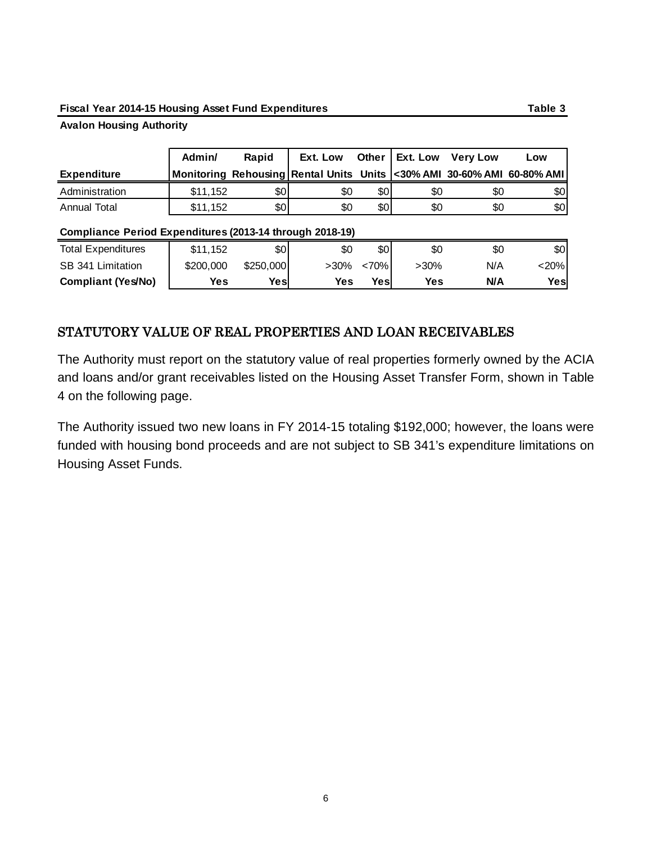#### **Fiscal Year 2014-15 Housing Asset Fund Expenditures Table 3**

#### **Avalon Housing Authority**

|                    | Admin/   | Rapid | Ext. Low                                                                    | Other   Ext. Low Very Low |     |     | Low |
|--------------------|----------|-------|-----------------------------------------------------------------------------|---------------------------|-----|-----|-----|
| <b>Expenditure</b> |          |       | Monitoring Rehousing Rental Units Units <a>0% AMI 30-60% AMI 60-80% AMI</a> |                           |     |     |     |
| Administration     | \$11,152 | \$0   | \$0                                                                         | \$0                       | \$0 | \$0 | \$0 |
| Annual Total       | \$11,152 | \$0   | \$0                                                                         | \$0                       | \$0 | \$0 | \$0 |
|                    |          |       |                                                                             |                           |     |     |     |

#### **Compliance Period Expenditures (2013-14 through 2018-19)**

| <b>Total Expenditures</b> | \$11.152  | \$0       | \$0        | \$0   | \$0        | \$Ο | \$0  |
|---------------------------|-----------|-----------|------------|-------|------------|-----|------|
| SB 341 Limitation         | \$200,000 | \$250,000 | >30%       | < 70% | $>30\%$    | N/A | <20% |
| <b>Compliant (Yes/No)</b> | Yes       | Yes       | <b>Yes</b> | Yes   | <b>Yes</b> | N/A | Yesl |

### <span id="page-7-0"></span>STATUTORY VALUE OF REAL PROPERTIES AND LOAN RECEIVABLES

The Authority must report on the statutory value of real properties formerly owned by the ACIA and loans and/or grant receivables listed on the Housing Asset Transfer Form, shown in Table 4 on the following page.

The Authority issued two new loans in FY 2014-15 totaling \$192,000; however, the loans were funded with housing bond proceeds and are not subject to SB 341's expenditure limitations on Housing Asset Funds.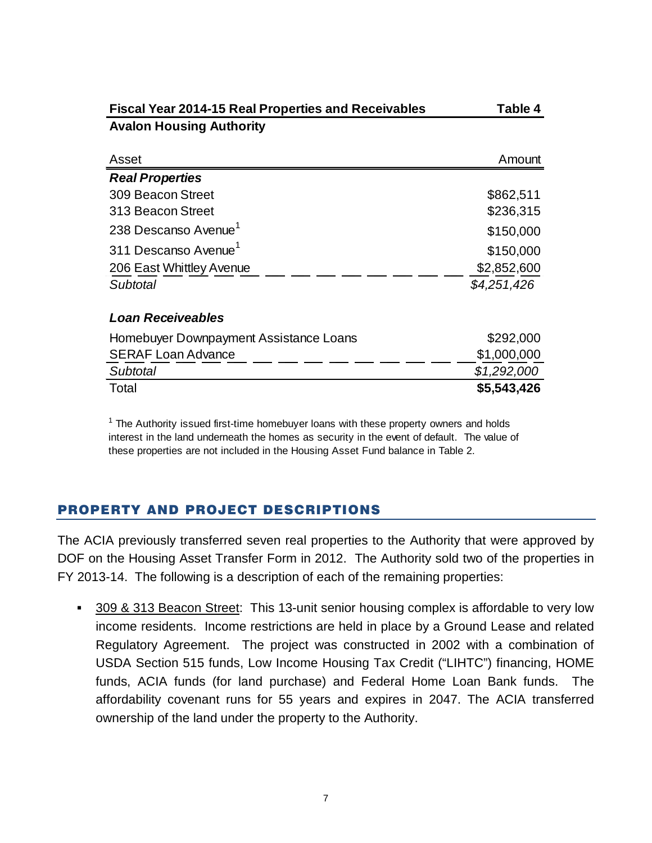| Fiscal Year 2014-15 Real Properties and Receivables | Table 4     |
|-----------------------------------------------------|-------------|
| <b>Avalon Housing Authority</b>                     |             |
|                                                     |             |
| Asset                                               | Amount      |
| <b>Real Properties</b>                              |             |
| 309 Beacon Street                                   | \$862,511   |
| 313 Beacon Street                                   | \$236,315   |
| 238 Descanso Avenue <sup>1</sup>                    | \$150,000   |
| 311 Descanso Avenue <sup>1</sup>                    | \$150,000   |
| 206 East Whittley Avenue                            | \$2,852,600 |
| Subtotal                                            | \$4,251,426 |
| <b>Loan Receiveables</b>                            |             |
|                                                     |             |
| Homebuyer Downpayment Assistance Loans              | \$292,000   |
| <b>SERAF Loan Advance</b>                           | \$1,000,000 |
| Subtotal                                            | \$1,292,000 |
| Total                                               | \$5,543,426 |

 $1$  The Authority issued first-time homebuyer loans with these property owners and holds interest in the land underneath the homes as security in the event of default. The value of these properties are not included in the Housing Asset Fund balance in Table 2.

# <span id="page-8-0"></span>PROPERTY AND PROJECT DESCRIPTIONS

The ACIA previously transferred seven real properties to the Authority that were approved by DOF on the Housing Asset Transfer Form in 2012. The Authority sold two of the properties in FY 2013-14. The following is a description of each of the remaining properties:

 309 & 313 Beacon Street: This 13-unit senior housing complex is affordable to very low income residents. Income restrictions are held in place by a Ground Lease and related Regulatory Agreement. The project was constructed in 2002 with a combination of USDA Section 515 funds, Low Income Housing Tax Credit ("LIHTC") financing, HOME funds, ACIA funds (for land purchase) and Federal Home Loan Bank funds. The affordability covenant runs for 55 years and expires in 2047. The ACIA transferred ownership of the land under the property to the Authority.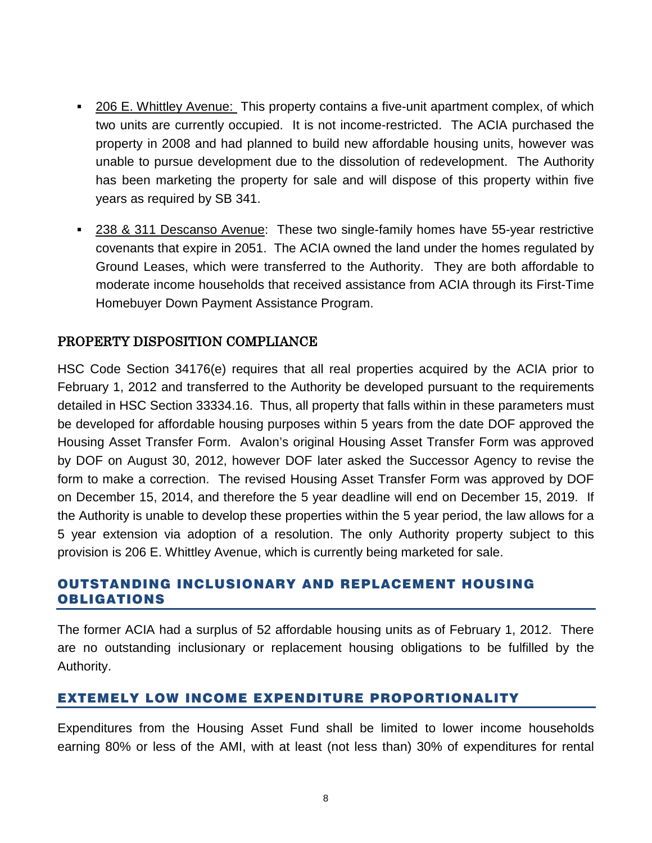- 206 E. Whittley Avenue: This property contains a five-unit apartment complex, of which two units are currently occupied. It is not income-restricted. The ACIA purchased the property in 2008 and had planned to build new affordable housing units, however was unable to pursue development due to the dissolution of redevelopment. The Authority has been marketing the property for sale and will dispose of this property within five years as required by SB 341.
- 238 & 311 Descanso Avenue: These two single-family homes have 55-year restrictive covenants that expire in 2051. The ACIA owned the land under the homes regulated by Ground Leases, which were transferred to the Authority. They are both affordable to moderate income households that received assistance from ACIA through its First-Time Homebuyer Down Payment Assistance Program.

# <span id="page-9-0"></span>PROPERTY DISPOSITION COMPLIANCE

HSC Code Section 34176(e) requires that all real properties acquired by the ACIA prior to February 1, 2012 and transferred to the Authority be developed pursuant to the requirements detailed in HSC Section 33334.16. Thus, all property that falls within in these parameters must be developed for affordable housing purposes within 5 years from the date DOF approved the Housing Asset Transfer Form. Avalon's original Housing Asset Transfer Form was approved by DOF on August 30, 2012, however DOF later asked the Successor Agency to revise the form to make a correction. The revised Housing Asset Transfer Form was approved by DOF on December 15, 2014, and therefore the 5 year deadline will end on December 15, 2019. If the Authority is unable to develop these properties within the 5 year period, the law allows for a 5 year extension via adoption of a resolution. The only Authority property subject to this provision is 206 E. Whittley Avenue, which is currently being marketed for sale.

# <span id="page-9-1"></span>OUTSTANDING INCLUSIONARY AND REPLACEMENT HOUSING OBLIGATIONS

The former ACIA had a surplus of 52 affordable housing units as of February 1, 2012. There are no outstanding inclusionary or replacement housing obligations to be fulfilled by the Authority.

# <span id="page-9-2"></span>EXTEMELY LOW INCOME EXPENDITURE PROPORTIONALITY

Expenditures from the Housing Asset Fund shall be limited to lower income households earning 80% or less of the AMI, with at least (not less than) 30% of expenditures for rental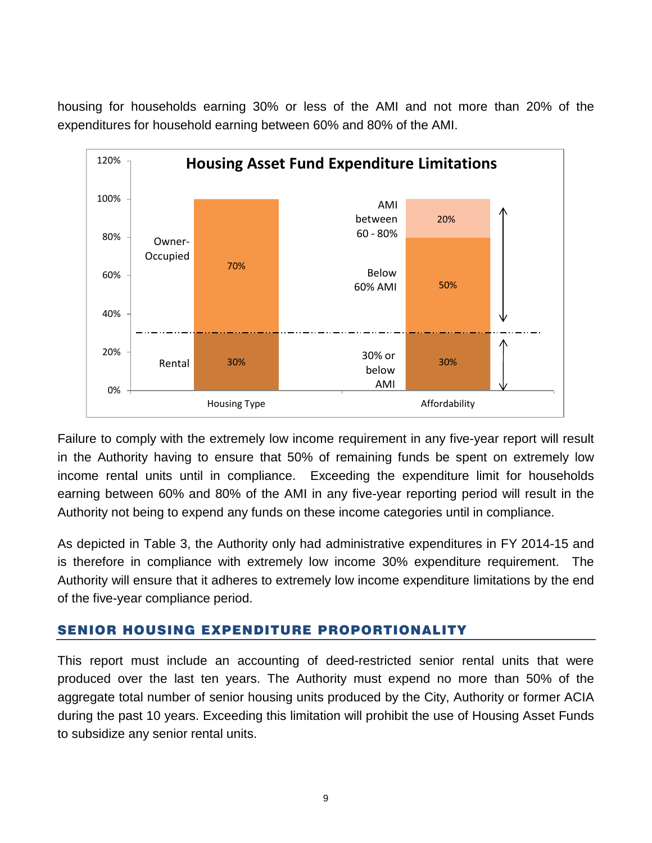housing for households earning 30% or less of the AMI and not more than 20% of the expenditures for household earning between 60% and 80% of the AMI.



Failure to comply with the extremely low income requirement in any five-year report will result in the Authority having to ensure that 50% of remaining funds be spent on extremely low income rental units until in compliance. Exceeding the expenditure limit for households earning between 60% and 80% of the AMI in any five-year reporting period will result in the Authority not being to expend any funds on these income categories until in compliance.

As depicted in Table 3, the Authority only had administrative expenditures in FY 2014-15 and is therefore in compliance with extremely low income 30% expenditure requirement. The Authority will ensure that it adheres to extremely low income expenditure limitations by the end of the five-year compliance period.

# <span id="page-10-0"></span>SENIOR HOUSING EXPENDITURE PROPORTIONALITY

This report must include an accounting of deed-restricted senior rental units that were produced over the last ten years. The Authority must expend no more than 50% of the aggregate total number of senior housing units produced by the City, Authority or former ACIA during the past 10 years. Exceeding this limitation will prohibit the use of Housing Asset Funds to subsidize any senior rental units.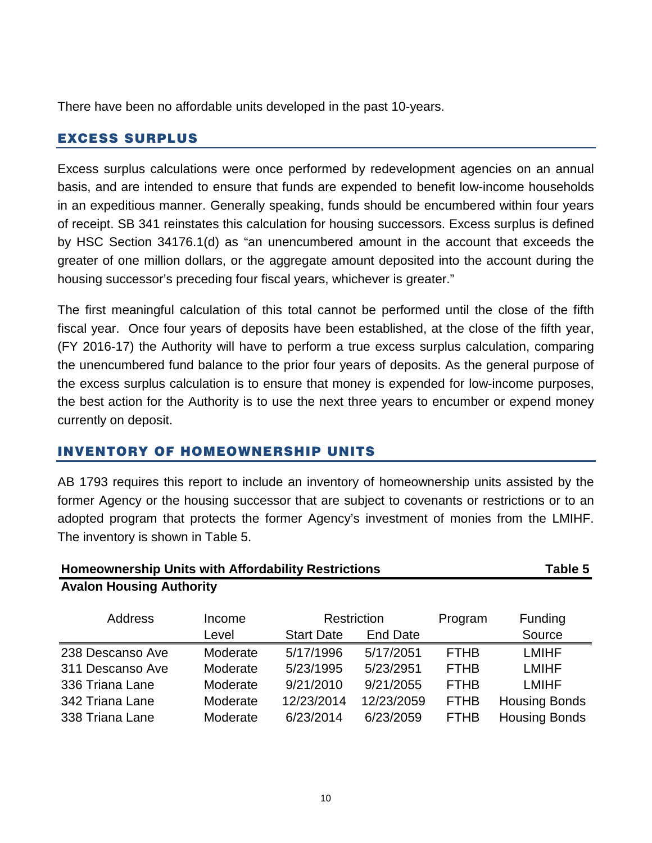There have been no affordable units developed in the past 10-years.

# <span id="page-11-0"></span>EXCESS SURPLUS

Excess surplus calculations were once performed by redevelopment agencies on an annual basis, and are intended to ensure that funds are expended to benefit low-income households in an expeditious manner. Generally speaking, funds should be encumbered within four years of receipt. SB 341 reinstates this calculation for housing successors. Excess surplus is defined by HSC Section 34176.1(d) as "an unencumbered amount in the account that exceeds the greater of one million dollars, or the aggregate amount deposited into the account during the housing successor's preceding four fiscal years, whichever is greater."

The first meaningful calculation of this total cannot be performed until the close of the fifth fiscal year. Once four years of deposits have been established, at the close of the fifth year, (FY 2016-17) the Authority will have to perform a true excess surplus calculation, comparing the unencumbered fund balance to the prior four years of deposits. As the general purpose of the excess surplus calculation is to ensure that money is expended for low-income purposes, the best action for the Authority is to use the next three years to encumber or expend money currently on deposit.

# <span id="page-11-1"></span>INVENTORY OF HOMEOWNERSHIP UNITS

AB 1793 requires this report to include an inventory of homeownership units assisted by the former Agency or the housing successor that are subject to covenants or restrictions or to an adopted program that protects the former Agency's investment of monies from the LMIHF. The inventory is shown in Table 5.

| <b>Homeownership Units with Affordability Restrictions</b>      | Table 5 |  |  |
|-----------------------------------------------------------------|---------|--|--|
| <b>Avalon Housing Authority</b>                                 |         |  |  |
| $\mathbf{A}$ and $\mathbf{A}$ and $\mathbf{A}$ and $\mathbf{A}$ | .       |  |  |

| <b>Address</b>   | Income   | Restriction       |            | Program     | Funding              |
|------------------|----------|-------------------|------------|-------------|----------------------|
|                  | Level    | <b>Start Date</b> | End Date   |             | Source               |
| 238 Descanso Ave | Moderate | 5/17/1996         | 5/17/2051  | <b>FTHB</b> | <b>LMIHF</b>         |
| 311 Descanso Ave | Moderate | 5/23/1995         | 5/23/2951  | <b>FTHB</b> | <b>LMIHF</b>         |
| 336 Triana Lane  | Moderate | 9/21/2010         | 9/21/2055  | <b>FTHB</b> | <b>LMIHF</b>         |
| 342 Triana Lane  | Moderate | 12/23/2014        | 12/23/2059 | <b>FTHB</b> | <b>Housing Bonds</b> |
| 338 Triana Lane  | Moderate | 6/23/2014         | 6/23/2059  | <b>FTHB</b> | <b>Housing Bonds</b> |